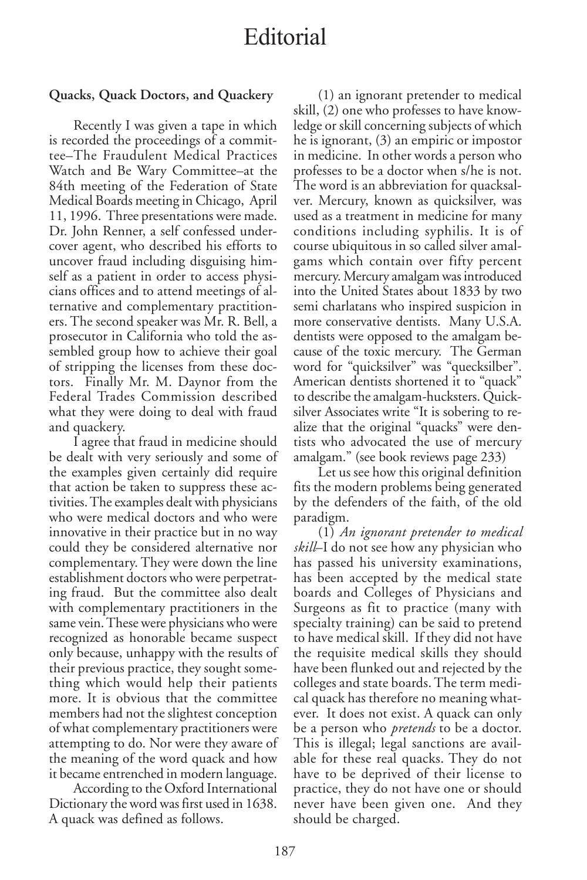## Editorial

## **Quacks, Quack Doctors, and Quackery**

Recently I was given a tape in which is recorded the proceedings of a committee–The Fraudulent Medical Practices Watch and Be Wary Committee–at the 84th meeting of the Federation of State Medical Boards meeting in Chicago, April 11, 1996. Three presentations were made. Dr. John Renner, a self confessed undercover agent, who described his efforts to uncover fraud including disguising himself as a patient in order to access physicians offices and to attend meetings of alternative and complementary practitioners. The second speaker was Mr. R. Bell, a prosecutor in California who told the assembled group how to achieve their goal of stripping the licenses from these doctors. Finally Mr. M. Daynor from the Federal Trades Commission described what they were doing to deal with fraud and quackery.

I agree that fraud in medicine should be dealt with very seriously and some of the examples given certainly did require that action be taken to suppress these activities. The examples dealt with physicians who were medical doctors and who were innovative in their practice but in no way could they be considered alternative nor complementary. They were down the line establishment doctors who were perpetrating fraud. But the committee also dealt with complementary practitioners in the same vein. These were physicians who were recognized as honorable became suspect only because, unhappy with the results of their previous practice, they sought something which would help their patients more. It is obvious that the committee members had not the slightest conception of what complementary practitioners were attempting to do. Nor were they aware of the meaning of the word quack and how it became entrenched in modern language.

According to the Oxford International Dictionary the word was first used in 1638. A quack was defined as follows.

(1) an ignorant pretender to medical skill, (2) one who professes to have knowledge or skill concerning subjects of which he is ignorant, (3) an empiric or impostor in medicine. In other words a person who professes to be a doctor when s/he is not. The word is an abbreviation for quacksalver. Mercury, known as quicksilver, was used as a treatment in medicine for many conditions including syphilis. It is of course ubiquitous in so called silver amalgams which contain over fifty percent mercury. Mercury amalgam was introduced into the United States about 1833 by two semi charlatans who inspired suspicion in more conservative dentists. Many U.S.A. dentists were opposed to the amalgam because of the toxic mercury. The German word for "quicksilver" was "quecksilber". American dentists shortened it to "quack" to describe the amalgam-hucksters. Quicksilver Associates write "It is sobering to realize that the original "quacks" were dentists who advocated the use of mercury amalgam." (see book reviews page 233)

Let us see how this original definition fits the modern problems being generated by the defenders of the faith, of the old paradigm.

(1) *An ignorant pretender to medical skill*–I do not see how any physician who has passed his university examinations, has been accepted by the medical state boards and Colleges of Physicians and Surgeons as fit to practice (many with specialty training) can be said to pretend to have medical skill. If they did not have the requisite medical skills they should have been flunked out and rejected by the colleges and state boards. The term medical quack has therefore no meaning whatever. It does not exist. A quack can only be a person who *pretends* to be a doctor. This is illegal; legal sanctions are available for these real quacks. They do not have to be deprived of their license to practice, they do not have one or should never have been given one. And they should be charged.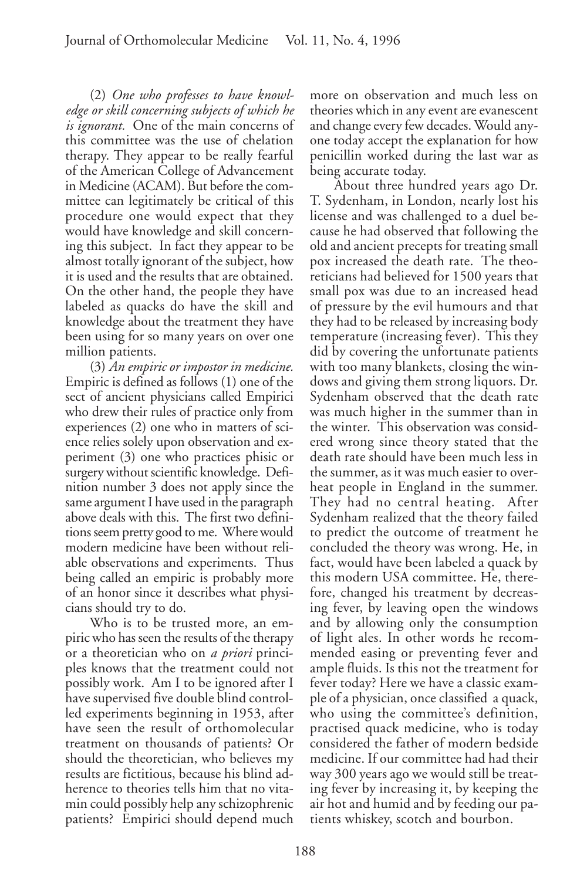(2) *One who professes to have knowledge or skill concerning subjects of which he is ignorant.* One of the main concerns of this committee was the use of chelation therapy. They appear to be really fearful of the American College of Advancement in Medicine (ACAM). But before the committee can legitimately be critical of this procedure one would expect that they would have knowledge and skill concerning this subject. In fact they appear to be almost totally ignorant of the subject, how it is used and the results that are obtained. On the other hand, the people they have labeled as quacks do have the skill and knowledge about the treatment they have been using for so many years on over one million patients.

(3) *An empiric or impostor in medicine.* Empiric is defined as follows (1) one of the sect of ancient physicians called Empirici who drew their rules of practice only from experiences (2) one who in matters of science relies solely upon observation and experiment (3) one who practices phisic or surgery without scientific knowledge. Definition number 3 does not apply since the same argument I have used in the paragraph above deals with this. The first two definitions seem pretty good to me. Where would modern medicine have been without reliable observations and experiments. Thus being called an empiric is probably more of an honor since it describes what physicians should try to do.

Who is to be trusted more, an empiric who has seen the results of the therapy or a theoretician who on *a priori* principles knows that the treatment could not possibly work. Am I to be ignored after I have supervised five double blind controlled experiments beginning in 1953, after have seen the result of orthomolecular treatment on thousands of patients? Or should the theoretician, who believes my results are fictitious, because his blind adherence to theories tells him that no vitamin could possibly help any schizophrenic patients? Empirici should depend much

more on observation and much less on theories which in any event are evanescent and change every few decades. Would anyone today accept the explanation for how penicillin worked during the last war as being accurate today.

About three hundred years ago Dr. T. Sydenham, in London, nearly lost his license and was challenged to a duel because he had observed that following the old and ancient precepts for treating small pox increased the death rate. The theoreticians had believed for 1500 years that small pox was due to an increased head of pressure by the evil humours and that they had to be released by increasing body temperature (increasing fever). This they did by covering the unfortunate patients with too many blankets, closing the windows and giving them strong liquors. Dr. Sydenham observed that the death rate was much higher in the summer than in the winter. This observation was considered wrong since theory stated that the death rate should have been much less in the summer, as it was much easier to overheat people in England in the summer. They had no central heating. After Sydenham realized that the theory failed to predict the outcome of treatment he concluded the theory was wrong. He, in fact, would have been labeled a quack by this modern USA committee. He, therefore, changed his treatment by decreasing fever, by leaving open the windows and by allowing only the consumption of light ales. In other words he recommended easing or preventing fever and ample fluids. Is this not the treatment for fever today? Here we have a classic example of a physician, once classified a quack, who using the committee's definition, practised quack medicine, who is today considered the father of modern bedside medicine. If our committee had had their way 300 years ago we would still be treating fever by increasing it, by keeping the air hot and humid and by feeding our patients whiskey, scotch and bourbon.